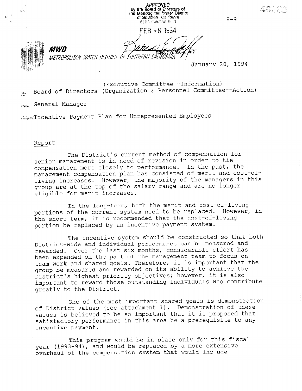APPROVED by the Board of Directors of<br>The Metropolitan Water District<br>of Southern Celifornia తేం 8-9 at its meeting held FEB - 8 1994 *MWD* METROPOLITAN WATER DISTRICT OF SOUTHERN CALIFORNIA January 20, 1994 (Executive Committee--Information)

 $\bar{h}$ . Board of Directors (Organization & Personnel Committee--Action)

 $E_{\text{FRR}}$ : General Manager

 $Subice$ ; Incentive Payment Plan for Unrepresented Employees

#### Report

The District's current method of compensation for senior management is in need of revision in order to tie compensation more closely to performance. In the past, the management compensation plan has consisted of merit and cost-ofliving increases. However, the majority of the managers in this group are at the top of the salary range and are no longer eligible for merit increases.

In the long-term, both the merit and cost-of-living portions of the current system need to be replaced. However, in the short term, it is recommended that the cost-of-living portion be replaced by an incentive payment system.

The incentive system should be constructed so that both District-wide and individual performance can be measured and rewarded. Over the last six months, considerable effort has been expended on the part of the management team to focus on team work and shared goals. Therefore, it is important that the group be measured and rewarded on its ability to achieve the District's highest priority objectives; however, it is also important to reward those outstanding individuals who contribute greatly to the District.

One of the most important shared goals is demonstration of District values (see attachment 1). Demonstration of these values is believed to be so important that it is proposed that satisfactory performance in this area be a prerequisite to any incentive payment.

This program would be in place only for this fiscal year (1993-94), and would be replaced by a more extensive overhaul of the compensation system that would include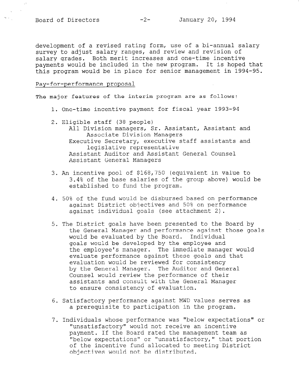$\ddot{\phantom{1}}$ 

 $\tilde{S}_{\rm{max}}$ 

development of a revised rating form, use of a bi-annual salary survey to adjust salary ranges, and review and revision of salary grades. Both merit increases and one-time incentive payments would be included in the new program. It is hoped that this program would be in place for senior management in 1994-95.

#### Pay-for-performance proposal

The major features of the interim program are as follows:

- 1. One-time incentive payment for fiscal year 1993-94
- 2. Eligible staff (38 people) All Division managers, Sr. Assistant, Assistant and Associate Division Managers Executive Secretary, executive staff assistants and legislative representative Assistant Auditor and Assistant General Counsel Assistant General Managers
- 3. An incentive pool of \$168,750 (equivalent in value to 3.4% of the base salaries of the group above) would be established to fund the program.
- 4. 50% of the fund would be disbursed based on performance against District objectives and 50% on performance against individual goals (see attachment 2).
- 5. The District goals have been presented to the Board by the General Manager and performance against those goals would be evaluated by the Board. Individual goals would be developed by the employee and the employee's manager. The immediate manager would evaluate performance against these goals and that evaluation would be reviewed for consistency by the General Manager. The Auditor and General Counsel would review the performance of their assistants and consult with the General Manager to ensure consistency of evaluation.
- 6. Satisfactory performance against MWD values serves as a prerequisite to participation in the program.
- 7. Individuals whose performance was "below expectations" or "unsatisfactory" would not receive an incentive payment. If the Board rated the management team as payment. It the board rated the management team as of the incentive fund allocated to meeting the incrementations of the incrementation  $\mathbf{p}$ of the incentive fund allocated to meeting District<br>objectives would not be distributed.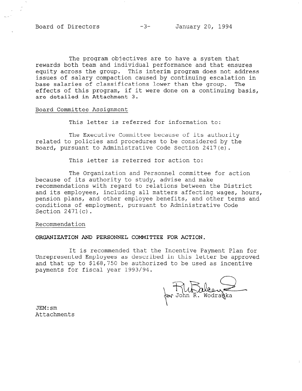The program objectives are to have a system that rewards both team and individual performance and that ensures equity across the group. This interim program does not address issues of salary compaction caused by continuing escalation in base salaries of classifications lower than the group. The effects of this program, if it were done on a continuing basis, are detailed in Attachment 3.

#### Board Committee Assignment

This letter is referred for information to:

The Executive Committee because of its authority related to policies and procedures to be considered by the Board, pursuant to Administrative Code Section 2417(e).

This letter is referred for action to:

The Organization and Personnel committee for action because of its authority to study, advise and make recommendations with regard to relations between the District and its employees, including all matters affecting wages, hours, pension plans, and other employee benefits, and other terms and conditions of employment, pursuant to Administrative Code Section 2471(c).

#### Recommendation

#### ORGANIZATION AND PERSONNEL COMMITTEE FOR ACTION.

It is recommended that the Incentive Payment Plan for Unrepresented Employees as described in this letter be approved and that up to \$168,750 be authorized to be used as incentive payments for fiscal year 1993/94.

on T) UL allean

JEM:sm Attachments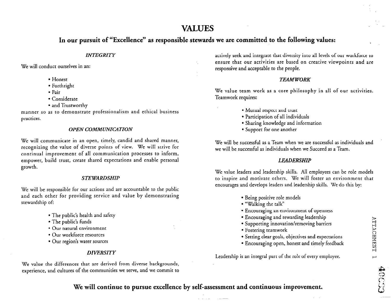# VALUES

# In our pursuit of "Excellence" as responsible stewards we are committed to the following values:

### **INTEGRITY**

We will conduct ourselves in an:

- Honest
- Forthright
- Fair
- Considerate
- and Trustworthy

manner so as to demonstrate professionalism and ethical business practices.

### OPEN COMMUNICATION

We will communicate in an open, timely, candid and shared manner, recognizing the value of diverse points of view. We will strive for continual improvement of all communication processes to inform, empower, build trust, create shared expectations and enable personal growth.

### **STEWARDSHIP**

We will be responsible for our actions and are accountable to the public and each other for providing service and value by demonstrating stewardship of:

- The public's health and safety
- The public's funds
- Our natural environment
- Our workforce resources
- Our region's water sources

### **DIVERSITY**

We value the differences that are derived from diverse backgrounds, experience, and cultures of the communities we serve, and we commit to actively seek and integrate that diversity into all levels of our workforce to ensure that our activities are based on creative viewpoints and are responsive and acceptable to the people.

### **TEAMWORK**

We value team work as a core philosophy in all of our activities. Teamwork requires:

- Mutual respect and trust
- Participation of all individuals
- Sharing knowledge and information
- Support for one another

We will be successful as a Team when we are successful as individuals and we will be successful as individuals when we Succeed as a Team.

### LEADERSHIP

We value leaders and leadership skills. All employees can be role models to inspire and motivate others. We will fosrer an environment rhat encourages and develops leaders and leadership skills. We do this by:

- Being positive role models
- "Walking the talk"
- Encouraging an environment of openness
- Encouraging and rewarding leadership
- Supporting innovation/removing barriers
- . Fostering teamwork
- Setting clear goals, objectives and expectations
- Encouraging open, honest and timely feedback

Leadership is an integral part of the role of every employee.

# Me will continue to pursue excellence by self-assessment and continuous improvement.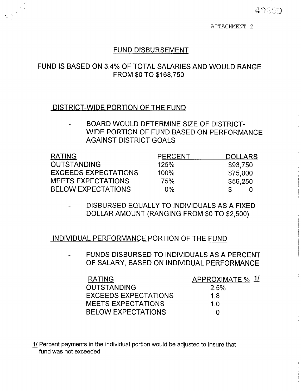ATTACHMENT 2

# FUND DISBURSEMENT

# FUND IS BASED ON 3.4% OF TOTAL SALARIES AND WOULD RANGE FROM \$0 TO \$168,750

# DISTRICT-WIDE PORTION OF THE FUND

BOARD WOULD DETERMINE SIZE OF DISTRICT-WIDE PORTION OF FUND BASED ON PERFORMANCE AGAINST DISTRICT GOALS

| <b>RATING</b>               | <b>PERCENT</b> | <b>DOLLARS</b> |
|-----------------------------|----------------|----------------|
| <b>OUTSTANDING</b>          | 125%           | \$93,750       |
| <b>EXCEEDS EXPECTATIONS</b> | $100\%$        | \$75,000       |
| <b>MEETS EXPECTATIONS</b>   | 75%            | \$56,250       |
| <b>BELOW EXPECTATIONS</b>   | $0\%$          |                |

DISBURSED EQUALLY TO INDIVIDUALS AS A FIXED DOLLAR AMOUNT (RANGING FROM \$0 TO \$2,500)

# INDIVIDUAL PERFORMANCE PORTION OF THE FUND

FUNDS DISBURSED TO INDIVIDUALS AS A PERCENT OF SALARY, BASED ON INDIVIDUAL PERFORMANCE

| <b>RATING</b>             | APPROXIMATE % 1/ |
|---------------------------|------------------|
| <b>OUTSTANDING</b>        | 2.5%             |
| EXCEEDS EXPECTATIONS      | 1.8              |
| <b>MEETS EXPECTATIONS</b> | 1 O              |
| <b>BELOW EXPECTATIONS</b> | $\mathbf{I}$     |

11 Percent payments in the individual portion would be adjusted to insure that fund was not exceeded